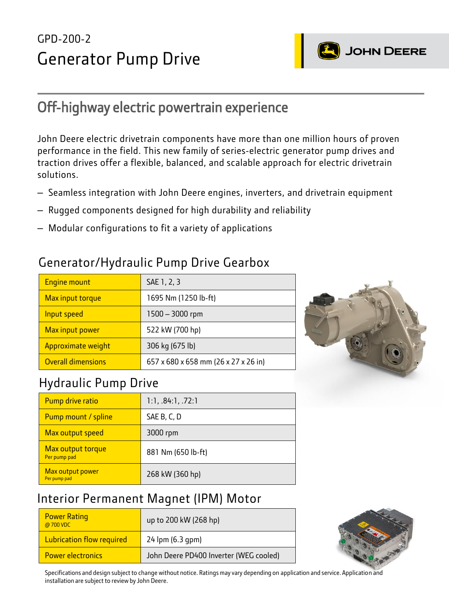# GPD-200-2 Generator Pump Drive



## Off-highway electric powertrain experience

John Deere electric drivetrain components have more than one million hours of proven performance in the field. This new family of series-electric generator pump drives and traction drives offer a flexible, balanced, and scalable approach for electric drivetrain solutions.

- Seamless integration with John Deere engines, inverters, and drivetrain equipment
- Rugged components designed for high durability and reliability
- Modular configurations to fit a variety of applications

#### Generator/Hydraulic Pump Drive Gearbox

| <b>Engine mount</b>       | SAE 1, 2, 3                          |
|---------------------------|--------------------------------------|
| Max input torque          | 1695 Nm (1250 lb-ft)                 |
| Input speed               | 1500 - 3000 rpm                      |
| Max input power           | 522 kW (700 hp)                      |
| Approximate weight        | 306 kg (675 lb)                      |
| <b>Overall dimensions</b> | 657 x 680 x 658 mm (26 x 27 x 26 in) |



#### Hydraulic Pump Drive

| Pump drive ratio                  | 1:1, .84:1, .72:1  |
|-----------------------------------|--------------------|
| Pump mount / spline               | SAE B, C, D        |
| Max output speed                  | 3000 rpm           |
| Max output torque<br>Per pump pad | 881 Nm (650 lb-ft) |
| Max output power<br>Per pump pad  | 268 kW (360 hp)    |

## Interior Permanent Magnet (IPM) Motor

| <b>Power Rating</b><br>@700 VDC  | up to 200 kW (268 hp)                  |
|----------------------------------|----------------------------------------|
| <b>Lubrication flow required</b> | 24 lpm (6.3 qpm)                       |
| <b>Power electronics</b>         | John Deere PD400 Inverter (WEG cooled) |



Specifications and design subject to change without notice. Ratings may vary depending on application and service. Application and installation are subject to review by John Deere.